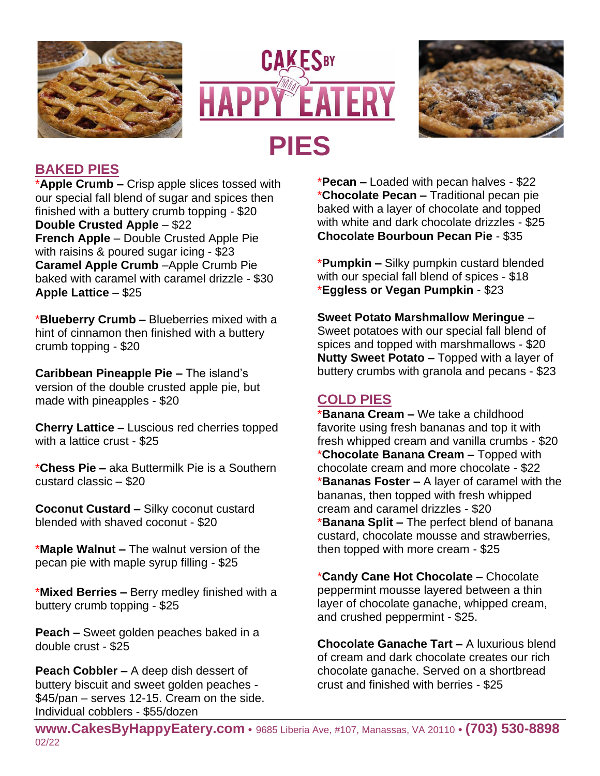





## **BAKED PIES**

\***Apple Crumb –** Crisp apple slices tossed with our special fall blend of sugar and spices then finished with a buttery crumb topping - \$20 **Double Crusted Apple** – \$22 **French Apple** – Double Crusted Apple Pie with raisins & poured sugar icing - \$23 **Caramel Apple Crumb** –Apple Crumb Pie baked with caramel with caramel drizzle - \$30 **Apple Lattice** – \$25

\***Blueberry Crumb –** Blueberries mixed with a hint of cinnamon then finished with a buttery crumb topping - \$20

**Caribbean Pineapple Pie –** The island's version of the double crusted apple pie, but made with pineapples - \$20

**Cherry Lattice –** Luscious red cherries topped with a lattice crust - \$25

\***Chess Pie –** aka Buttermilk Pie is a Southern custard classic – \$20

**Coconut Custard –** Silky coconut custard blended with shaved coconut - \$20

\***Maple Walnut –** The walnut version of the pecan pie with maple syrup filling - \$25

\***Mixed Berries –** Berry medley finished with a buttery crumb topping - \$25

**Peach –** Sweet golden peaches baked in a double crust - \$25

**Peach Cobbler –** A deep dish dessert of buttery biscuit and sweet golden peaches - \$45/pan – serves 12-15. Cream on the side. Individual cobblers - \$55/dozen

\***Pecan –** Loaded with pecan halves - \$22 \***Chocolate Pecan –** Traditional pecan pie baked with a layer of chocolate and topped with white and dark chocolate drizzles - \$25 **Chocolate Bourboun Pecan Pie** - \$35

\***Pumpkin –** Silky pumpkin custard blended with our special fall blend of spices - \$18 \***Eggless or Vegan Pumpkin** - \$23

**Sweet Potato Marshmallow Meringue** – Sweet potatoes with our special fall blend of spices and topped with marshmallows - \$20 **Nutty Sweet Potato –** Topped with a layer of buttery crumbs with granola and pecans - \$23

# **COLD PIES**

\***Banana Cream –** We take a childhood favorite using fresh bananas and top it with fresh whipped cream and vanilla crumbs - \$20 \***Chocolate Banana Cream –** Topped with chocolate cream and more chocolate - \$22 \***Bananas Foster –** A layer of caramel with the bananas, then topped with fresh whipped cream and caramel drizzles - \$20 \***Banana Split –** The perfect blend of banana custard, chocolate mousse and strawberries, then topped with more cream - \$25

\***Candy Cane Hot Chocolate –** Chocolate peppermint mousse layered between a thin layer of chocolate ganache, whipped cream, and crushed peppermint - \$25.

**Chocolate Ganache Tart –** A luxurious blend of cream and dark chocolate creates our rich chocolate ganache. Served on a shortbread crust and finished with berries - \$25